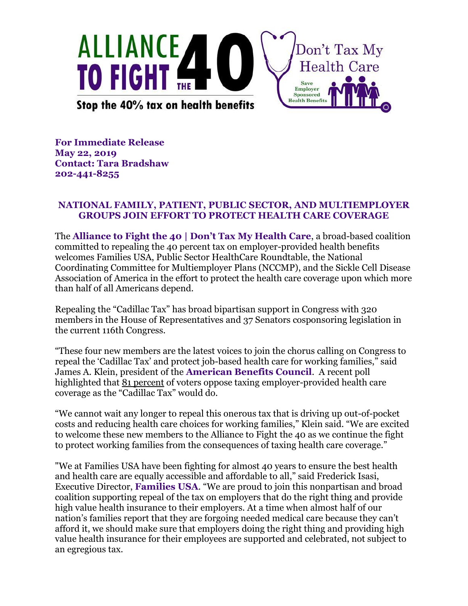

**For Immediate Release May 22, 2019 Contact: Tara Bradshaw 202-441-8255**

## **NATIONAL FAMILY, PATIENT, PUBLIC SECTOR, AND MULTIEMPLOYER GROUPS JOIN EFFORT TO PROTECT HEALTH CARE COVERAGE**

The **Alliance to Fight the 40 | Don't Tax My Health Care**, a broad-based coalition committed to repealing the 40 percent tax on employer-provided health benefits welcomes Families USA, Public Sector HealthCare Roundtable, the National Coordinating Committee for Multiemployer Plans (NCCMP), and the Sickle Cell Disease Association of America in the effort to protect the health care coverage upon which more than half of all Americans depend.

Repealing the "Cadillac Tax" has broad bipartisan support in Congress with 320 members in the House of Representatives and 37 Senators cosponsoring legislation in the current 116th Congress.

"These four new members are the latest voices to join the chorus calling on Congress to repeal the 'Cadillac Tax' and protect job-based health care for working families," said James A. Klein, president of the **American Benefits Council**. A recent poll highlighted that <u>81 percent</u> of voters oppose taxing employer-provided health care coverage as the "Cadillac Tax" would do.

"We cannot wait any longer to repeal this onerous tax that is driving up out-of-pocket costs and reducing health care choices for working families," Klein said. "We are excited to welcome these new members to the Alliance to Fight the 40 as we continue the fight to protect working families from the consequences of taxing health care coverage."

"We at Families USA have been fighting for almost 40 years to ensure the best health and health care are equally accessible and affordable to all," said Frederick Isasi, Executive Director, **Families USA**. "We are proud to join this nonpartisan and broad coalition supporting repeal of the tax on employers that do the right thing and provide high value health insurance to their employers. At a time when almost half of our nation's families report that they are forgoing needed medical care because they can't afford it, we should make sure that employers doing the right thing and providing high value health insurance for their employees are supported and celebrated, not subject to an egregious tax.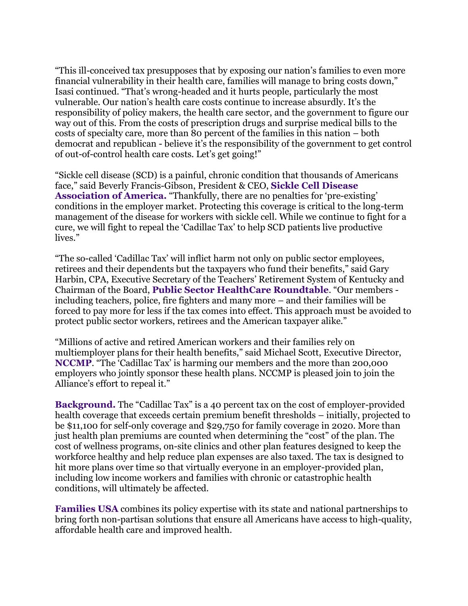"This ill-conceived tax presupposes that by exposing our nation's families to even more financial vulnerability in their health care, families will manage to bring costs down," Isasi continued. "That's wrong-headed and it hurts people, particularly the most vulnerable. Our nation's health care costs continue to increase absurdly. It's the responsibility of policy makers, the health care sector, and the government to figure our way out of this. From the costs of prescription drugs and surprise medical bills to the costs of specialty care, more than 80 percent of the families in this nation – both democrat and republican - believe it's the responsibility of the government to get control of out-of-control health care costs. Let's get going!"

"Sickle cell disease (SCD) is a painful, chronic condition that thousands of Americans face," said Beverly Francis-Gibson, President & CEO, **Sickle Cell Disease Association of America.** "Thankfully, there are no penalties for 'pre-existing' conditions in the employer market. Protecting this coverage is critical to the long-term management of the disease for workers with sickle cell. While we continue to fight for a cure, we will fight to repeal the 'Cadillac Tax' to help SCD patients live productive lives."

"The so-called 'Cadillac Tax' will inflict harm not only on public sector employees, retirees and their dependents but the taxpayers who fund their benefits," said Gary Harbin, CPA, Executive Secretary of the Teachers' Retirement System of Kentucky and Chairman of the Board, **Public Sector HealthCare Roundtable**. "Our members including teachers, police, fire fighters and many more – and their families will be forced to pay more for less if the tax comes into effect. This approach must be avoided to protect public sector workers, retirees and the American taxpayer alike."

"Millions of active and retired American workers and their families rely on multiemployer plans for their health benefits," said Michael Scott, Executive Director, **NCCMP**. "The 'Cadillac Tax' is harming our members and the more than 200,000 employers who jointly sponsor these health plans. NCCMP is pleased join to join the Alliance's effort to repeal it."

**Background.** The "Cadillac Tax" is a 40 percent tax on the cost of employer-provided health coverage that exceeds certain premium benefit thresholds – initially, projected to be \$11,100 for self-only coverage and \$29,750 for family coverage in 2020. More than just health plan premiums are counted when determining the "cost" of the plan. The cost of wellness programs, on-site clinics and other plan features designed to keep the workforce healthy and help reduce plan expenses are also taxed. The tax is designed to hit more plans over time so that virtually everyone in an employer-provided plan, including low income workers and families with chronic or catastrophic health conditions, will ultimately be affected.

**Families USA** combines its policy expertise with its state and national partnerships to bring forth non-partisan solutions that ensure all Americans have access to high-quality, affordable health care and improved health.